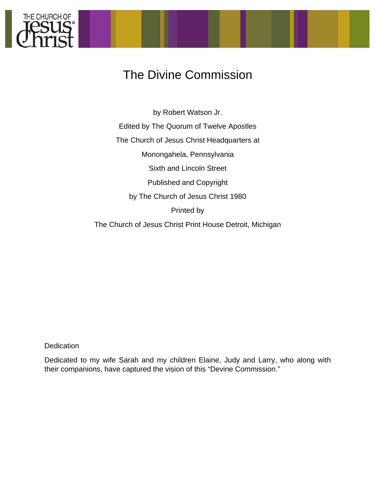

# The Divine Commission

by Robert Watson Jr. Edited by The Quorum of Twelve Apostles The Church of Jesus Christ Headquarters at Monongahela, Pennsylvania Sixth and Lincoln Street Published and Copyright by The Church of Jesus Christ 1980 Printed by The Church of Jesus Christ Print House Detroit, Michigan

**Dedication** 

Dedicated to my wife Sarah and my children Elaine, Judy and Larry, who along with their companions, have captured the vision of this "Devine Commission."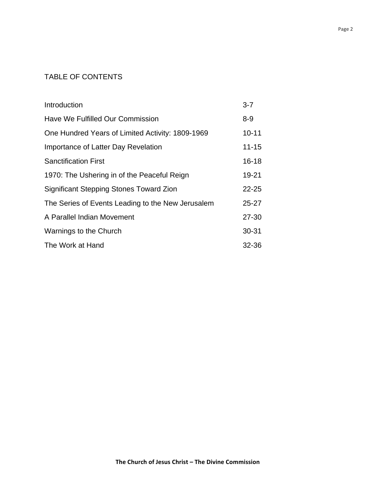## TABLE OF CONTENTS

| Introduction                                      | $3 - 7$   |
|---------------------------------------------------|-----------|
| Have We Fulfilled Our Commission                  | $8 - 9$   |
| One Hundred Years of Limited Activity: 1809-1969  | $10 - 11$ |
| Importance of Latter Day Revelation               | $11 - 15$ |
| <b>Sanctification First</b>                       | $16 - 18$ |
| 1970: The Ushering in of the Peaceful Reign       | 19-21     |
| Significant Stepping Stones Toward Zion           | $22 - 25$ |
| The Series of Events Leading to the New Jerusalem | $25 - 27$ |
| A Parallel Indian Movement                        | $27 - 30$ |
| Warnings to the Church                            | $30 - 31$ |
| The Work at Hand                                  | 32-36     |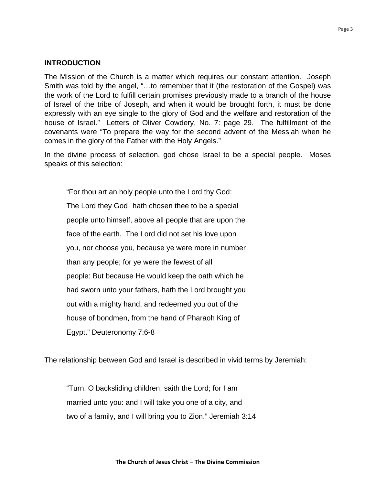## **INTRODUCTION**

The Mission of the Church is a matter which requires our constant attention. Joseph Smith was told by the angel, "…to remember that it (the restoration of the Gospel) was the work of the Lord to fulfill certain promises previously made to a branch of the house of Israel of the tribe of Joseph, and when it would be brought forth, it must be done expressly with an eye single to the glory of God and the welfare and restoration of the house of Israel." Letters of Oliver Cowdery, No. 7: page 29. The fulfillment of the covenants were "To prepare the way for the second advent of the Messiah when he comes in the glory of the Father with the Holy Angels."

In the divine process of selection, god chose Israel to be a special people. Moses speaks of this selection:

"For thou art an holy people unto the Lord thy God:

 The Lord they God hath chosen thee to be a special people unto himself, above all people that are upon the face of the earth. The Lord did not set his love upon you, nor choose you, because ye were more in number than any people; for ye were the fewest of all people: But because He would keep the oath which he had sworn unto your fathers, hath the Lord brought you out with a mighty hand, and redeemed you out of the house of bondmen, from the hand of Pharaoh King of Egypt." Deuteronomy 7:6-8

The relationship between God and Israel is described in vivid terms by Jeremiah:

 "Turn, O backsliding children, saith the Lord; for I am married unto you: and I will take you one of a city, and two of a family, and I will bring you to Zion." Jeremiah 3:14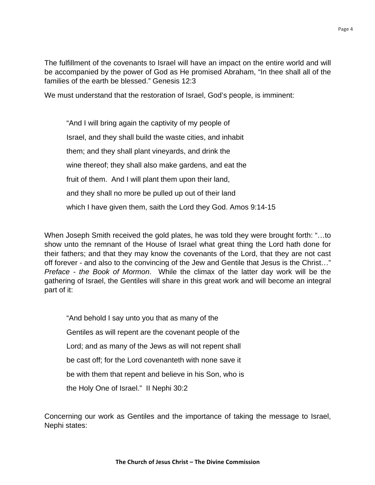The fulfillment of the covenants to Israel will have an impact on the entire world and will be accompanied by the power of God as He promised Abraham, "In thee shall all of the families of the earth be blessed." Genesis 12:3

We must understand that the restoration of Israel, God's people, is imminent:

 "And I will bring again the captivity of my people of Israel, and they shall build the waste cities, and inhabit them; and they shall plant vineyards, and drink the wine thereof; they shall also make gardens, and eat the fruit of them. And I will plant them upon their land, and they shall no more be pulled up out of their land which I have given them, saith the Lord they God. Amos 9:14-15

When Joseph Smith received the gold plates, he was told they were brought forth: "…to show unto the remnant of the House of Israel what great thing the Lord hath done for their fathers; and that they may know the covenants of the Lord, that they are not cast off forever - and also to the convincing of the Jew and Gentile that Jesus is the Christ…" *Preface - the Book of Mormon*. While the climax of the latter day work will be the gathering of Israel, the Gentiles will share in this great work and will become an integral part of it:

 "And behold I say unto you that as many of the Gentiles as will repent are the covenant people of the Lord; and as many of the Jews as will not repent shall be cast off; for the Lord covenanteth with none save it be with them that repent and believe in his Son, who is the Holy One of Israel." II Nephi 30:2

Concerning our work as Gentiles and the importance of taking the message to Israel, Nephi states: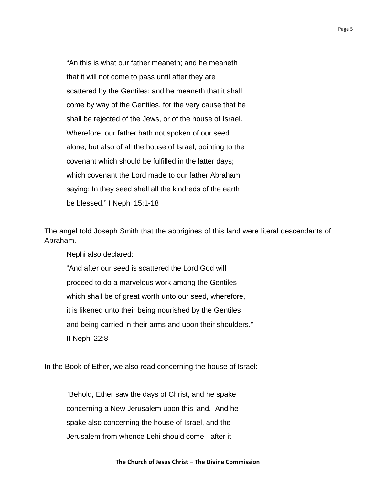"An this is what our father meaneth; and he meaneth that it will not come to pass until after they are scattered by the Gentiles; and he meaneth that it shall come by way of the Gentiles, for the very cause that he shall be rejected of the Jews, or of the house of Israel. Wherefore, our father hath not spoken of our seed alone, but also of all the house of Israel, pointing to the covenant which should be fulfilled in the latter days; which covenant the Lord made to our father Abraham, saying: In they seed shall all the kindreds of the earth be blessed." I Nephi 15:1-18

The angel told Joseph Smith that the aborigines of this land were literal descendants of Abraham.

Nephi also declared:

 "And after our seed is scattered the Lord God will proceed to do a marvelous work among the Gentiles which shall be of great worth unto our seed, wherefore, it is likened unto their being nourished by the Gentiles and being carried in their arms and upon their shoulders." II Nephi 22:8

In the Book of Ether, we also read concerning the house of Israel:

 "Behold, Ether saw the days of Christ, and he spake concerning a New Jerusalem upon this land. And he spake also concerning the house of Israel, and the Jerusalem from whence Lehi should come - after it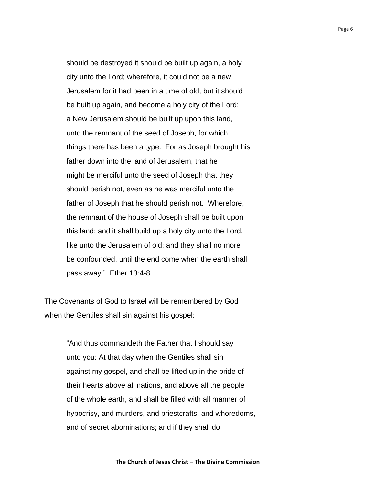should be destroyed it should be built up again, a holy city unto the Lord; wherefore, it could not be a new Jerusalem for it had been in a time of old, but it should be built up again, and become a holy city of the Lord; a New Jerusalem should be built up upon this land, unto the remnant of the seed of Joseph, for which things there has been a type. For as Joseph brought his father down into the land of Jerusalem, that he might be merciful unto the seed of Joseph that they should perish not, even as he was merciful unto the father of Joseph that he should perish not. Wherefore, the remnant of the house of Joseph shall be built upon this land; and it shall build up a holy city unto the Lord, like unto the Jerusalem of old; and they shall no more be confounded, until the end come when the earth shall pass away." Ether 13:4-8

The Covenants of God to Israel will be remembered by God when the Gentiles shall sin against his gospel:

> "And thus commandeth the Father that I should say unto you: At that day when the Gentiles shall sin against my gospel, and shall be lifted up in the pride of their hearts above all nations, and above all the people of the whole earth, and shall be filled with all manner of hypocrisy, and murders, and priestcrafts, and whoredoms, and of secret abominations; and if they shall do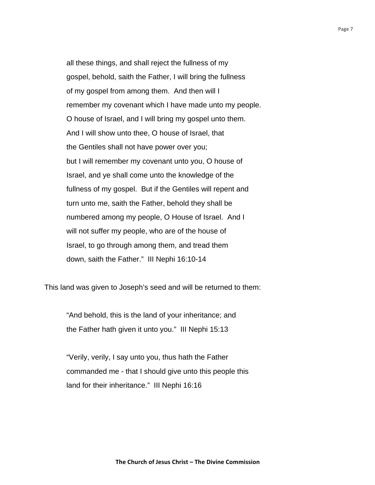all these things, and shall reject the fullness of my gospel, behold, saith the Father, I will bring the fullness of my gospel from among them. And then will I remember my covenant which I have made unto my people. O house of Israel, and I will bring my gospel unto them. And I will show unto thee, O house of Israel, that the Gentiles shall not have power over you; but I will remember my covenant unto you, O house of Israel, and ye shall come unto the knowledge of the fullness of my gospel. But if the Gentiles will repent and turn unto me, saith the Father, behold they shall be numbered among my people, O House of Israel. And I will not suffer my people, who are of the house of Israel, to go through among them, and tread them down, saith the Father." III Nephi 16:10-14

This land was given to Joseph's seed and will be returned to them:

 "And behold, this is the land of your inheritance; and the Father hath given it unto you." III Nephi 15:13

 "Verily, verily, I say unto you, thus hath the Father commanded me - that I should give unto this people this land for their inheritance." III Nephi 16:16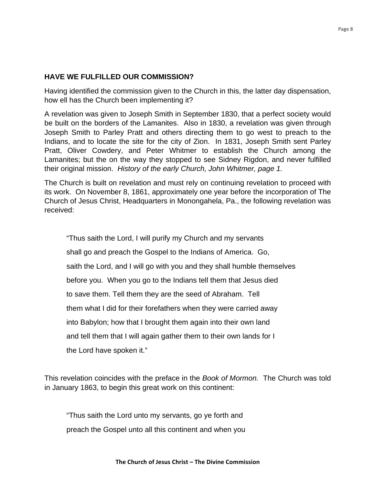## **HAVE WE FULFILLED OUR COMMISSION?**

Having identified the commission given to the Church in this, the latter day dispensation, how ell has the Church been implementing it?

A revelation was given to Joseph Smith in September 1830, that a perfect society would be built on the borders of the Lamanites. Also in 1830, a revelation was given through Joseph Smith to Parley Pratt and others directing them to go west to preach to the Indians, and to locate the site for the city of Zion. In 1831, Joseph Smith sent Parley Pratt, Oliver Cowdery, and Peter Whitmer to establish the Church among the Lamanites; but the on the way they stopped to see Sidney Rigdon, and never fulfilled their original mission. *History of the early Church, John Whitmer, page 1.* 

The Church is built on revelation and must rely on continuing revelation to proceed with its work. On November 8, 1861, approximately one year before the incorporation of The Church of Jesus Christ, Headquarters in Monongahela, Pa., the following revelation was received:

 "Thus saith the Lord, I will purify my Church and my servants shall go and preach the Gospel to the Indians of America. Go, saith the Lord, and I will go with you and they shall humble themselves before you. When you go to the Indians tell them that Jesus died to save them. Tell them they are the seed of Abraham. Tell them what I did for their forefathers when they were carried away into Babylon; how that I brought them again into their own land and tell them that I will again gather them to their own lands for I the Lord have spoken it."

This revelation coincides with the preface in the *Book of Mormon.* The Church was told in January 1863, to begin this great work on this continent:

 "Thus saith the Lord unto my servants, go ye forth and preach the Gospel unto all this continent and when you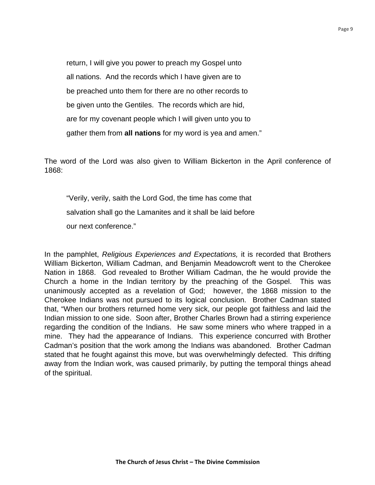return, I will give you power to preach my Gospel unto all nations. And the records which I have given are to be preached unto them for there are no other records to be given unto the Gentiles. The records which are hid, are for my covenant people which I will given unto you to gather them from **all nations** for my word is yea and amen."

The word of the Lord was also given to William Bickerton in the April conference of 1868:

 "Verily, verily, saith the Lord God, the time has come that salvation shall go the Lamanites and it shall be laid before our next conference."

In the pamphlet, *Religious Experiences and Expectations,* it is recorded that Brothers William Bickerton, William Cadman, and Benjamin Meadowcroft went to the Cherokee Nation in 1868. God revealed to Brother William Cadman, the he would provide the Church a home in the Indian territory by the preaching of the Gospel. This was unanimously accepted as a revelation of God; however, the 1868 mission to the Cherokee Indians was not pursued to its logical conclusion. Brother Cadman stated that, "When our brothers returned home very sick, our people got faithless and laid the Indian mission to one side. Soon after, Brother Charles Brown had a stirring experience regarding the condition of the Indians. He saw some miners who where trapped in a mine. They had the appearance of Indians. This experience concurred with Brother Cadman's position that the work among the Indians was abandoned. Brother Cadman stated that he fought against this move, but was overwhelmingly defected. This drifting away from the Indian work, was caused primarily, by putting the temporal things ahead of the spiritual.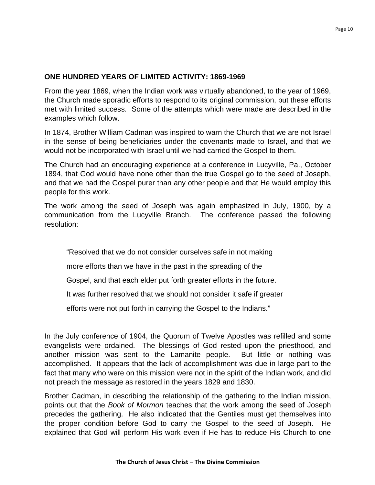## **ONE HUNDRED YEARS OF LIMITED ACTIVITY: 1869-1969**

From the year 1869, when the Indian work was virtually abandoned, to the year of 1969, the Church made sporadic efforts to respond to its original commission, but these efforts met with limited success. Some of the attempts which were made are described in the examples which follow.

In 1874, Brother William Cadman was inspired to warn the Church that we are not Israel in the sense of being beneficiaries under the covenants made to Israel, and that we would not be incorporated with Israel until we had carried the Gospel to them.

The Church had an encouraging experience at a conference in Lucyville, Pa., October 1894, that God would have none other than the true Gospel go to the seed of Joseph, and that we had the Gospel purer than any other people and that He would employ this people for this work.

The work among the seed of Joseph was again emphasized in July, 1900, by a communication from the Lucyville Branch. The conference passed the following resolution:

"Resolved that we do not consider ourselves safe in not making

more efforts than we have in the past in the spreading of the

Gospel, and that each elder put forth greater efforts in the future.

It was further resolved that we should not consider it safe if greater

efforts were not put forth in carrying the Gospel to the Indians."

In the July conference of 1904, the Quorum of Twelve Apostles was refilled and some evangelists were ordained. The blessings of God rested upon the priesthood, and another mission was sent to the Lamanite people. But little or nothing was accomplished. It appears that the lack of accomplishment was due in large part to the fact that many who were on this mission were not in the spirit of the Indian work, and did not preach the message as restored in the years 1829 and 1830.

Brother Cadman, in describing the relationship of the gathering to the Indian mission, points out that the *Book of Mormon* teaches that the work among the seed of Joseph precedes the gathering. He also indicated that the Gentiles must get themselves into the proper condition before God to carry the Gospel to the seed of Joseph. He explained that God will perform His work even if He has to reduce His Church to one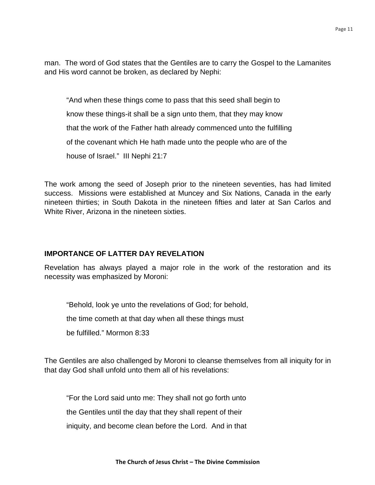man. The word of God states that the Gentiles are to carry the Gospel to the Lamanites and His word cannot be broken, as declared by Nephi:

 "And when these things come to pass that this seed shall begin to know these things-it shall be a sign unto them, that they may know that the work of the Father hath already commenced unto the fulfilling of the covenant which He hath made unto the people who are of the house of Israel." III Nephi 21:7

The work among the seed of Joseph prior to the nineteen seventies, has had limited success. Missions were established at Muncey and Six Nations, Canada in the early nineteen thirties; in South Dakota in the nineteen fifties and later at San Carlos and White River, Arizona in the nineteen sixties.

## **IMPORTANCE OF LATTER DAY REVELATION**

Revelation has always played a major role in the work of the restoration and its necessity was emphasized by Moroni:

"Behold, look ye unto the revelations of God; for behold,

the time cometh at that day when all these things must

be fulfilled." Mormon 8:33

The Gentiles are also challenged by Moroni to cleanse themselves from all iniquity for in that day God shall unfold unto them all of his revelations:

"For the Lord said unto me: They shall not go forth unto

the Gentiles until the day that they shall repent of their

iniquity, and become clean before the Lord. And in that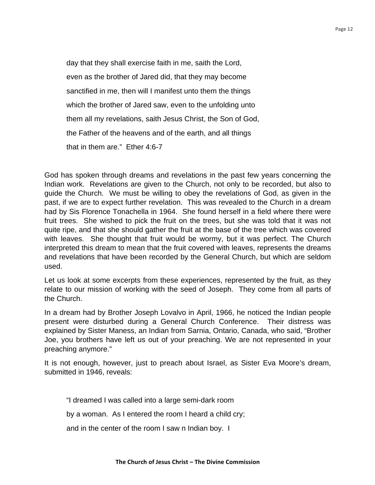day that they shall exercise faith in me, saith the Lord, even as the brother of Jared did, that they may become sanctified in me, then will I manifest unto them the things which the brother of Jared saw, even to the unfolding unto them all my revelations, saith Jesus Christ, the Son of God, the Father of the heavens and of the earth, and all things that in them are." Ether 4:6-7

God has spoken through dreams and revelations in the past few years concerning the Indian work. Revelations are given to the Church, not only to be recorded, but also to guide the Church. We must be willing to obey the revelations of God, as given in the past, if we are to expect further revelation. This was revealed to the Church in a dream had by Sis Florence Tonachella in 1964. She found herself in a field where there were fruit trees. She wished to pick the fruit on the trees, but she was told that it was not quite ripe, and that she should gather the fruit at the base of the tree which was covered with leaves. She thought that fruit would be wormy, but it was perfect. The Church interpreted this dream to mean that the fruit covered with leaves, represents the dreams and revelations that have been recorded by the General Church, but which are seldom used.

Let us look at some excerpts from these experiences, represented by the fruit, as they relate to our mission of working with the seed of Joseph. They come from all parts of the Church.

In a dream had by Brother Joseph Lovalvo in April, 1966, he noticed the Indian people present were disturbed during a General Church Conference. Their distress was explained by Sister Maness, an Indian from Sarnia, Ontario, Canada, who said, "Brother Joe, you brothers have left us out of your preaching. We are not represented in your preaching anymore."

It is not enough, however, just to preach about Israel, as Sister Eva Moore's dream, submitted in 1946, reveals:

"I dreamed I was called into a large semi-dark room

by a woman. As I entered the room I heard a child cry;

and in the center of the room I saw n Indian boy. I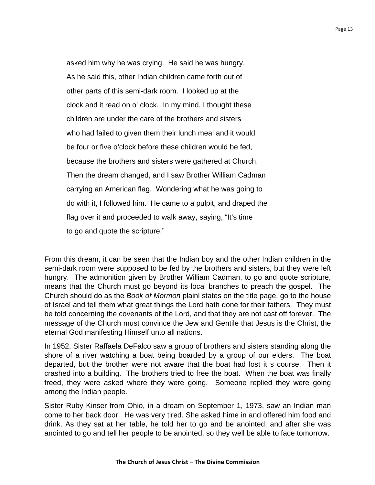asked him why he was crying. He said he was hungry. As he said this, other Indian children came forth out of other parts of this semi-dark room. I looked up at the clock and it read on o' clock. In my mind, I thought these children are under the care of the brothers and sisters who had failed to given them their lunch meal and it would be four or five o'clock before these children would be fed, because the brothers and sisters were gathered at Church. Then the dream changed, and I saw Brother William Cadman carrying an American flag. Wondering what he was going to do with it, I followed him. He came to a pulpit, and draped the flag over it and proceeded to walk away, saying, "It's time to go and quote the scripture."

From this dream, it can be seen that the Indian boy and the other Indian children in the semi-dark room were supposed to be fed by the brothers and sisters, but they were left hungry. The admonition given by Brother William Cadman, to go and quote scripture, means that the Church must go beyond its local branches to preach the gospel. The Church should do as the *Book of Mormon* plainl states on the title page, go to the house of Israel and tell them what great things the Lord hath done for their fathers. They must be told concerning the covenants of the Lord, and that they are not cast off forever. The message of the Church must convince the Jew and Gentile that Jesus is the Christ, the eternal God manifesting Himself unto all nations.

In 1952, Sister Raffaela DeFalco saw a group of brothers and sisters standing along the shore of a river watching a boat being boarded by a group of our elders. The boat departed, but the brother were not aware that the boat had lost it s course. Then it crashed into a building. The brothers tried to free the boat. When the boat was finally freed, they were asked where they were going. Someone replied they were going among the Indian people.

Sister Ruby Kinser from Ohio, in a dream on September 1, 1973, saw an Indian man come to her back door. He was very tired. She asked hime in and offered him food and drink. As they sat at her table, he told her to go and be anointed, and after she was anointed to go and tell her people to be anointed, so they well be able to face tomorrow.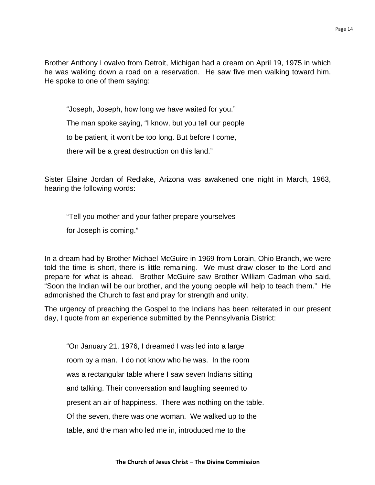Brother Anthony Lovalvo from Detroit, Michigan had a dream on April 19, 1975 in which he was walking down a road on a reservation. He saw five men walking toward him. He spoke to one of them saying:

"Joseph, Joseph, how long we have waited for you."

The man spoke saying, "I know, but you tell our people

to be patient, it won't be too long. But before I come,

there will be a great destruction on this land."

Sister Elaine Jordan of Redlake, Arizona was awakened one night in March, 1963, hearing the following words:

"Tell you mother and your father prepare yourselves

for Joseph is coming."

In a dream had by Brother Michael McGuire in 1969 from Lorain, Ohio Branch, we were told the time is short, there is little remaining. We must draw closer to the Lord and prepare for what is ahead. Brother McGuire saw Brother William Cadman who said, "Soon the Indian will be our brother, and the young people will help to teach them." He admonished the Church to fast and pray for strength and unity.

The urgency of preaching the Gospel to the Indians has been reiterated in our present day, I quote from an experience submitted by the Pennsylvania District:

 "On January 21, 1976, I dreamed I was led into a large room by a man. I do not know who he was. In the room was a rectangular table where I saw seven Indians sitting and talking. Their conversation and laughing seemed to present an air of happiness. There was nothing on the table. Of the seven, there was one woman. We walked up to the table, and the man who led me in, introduced me to the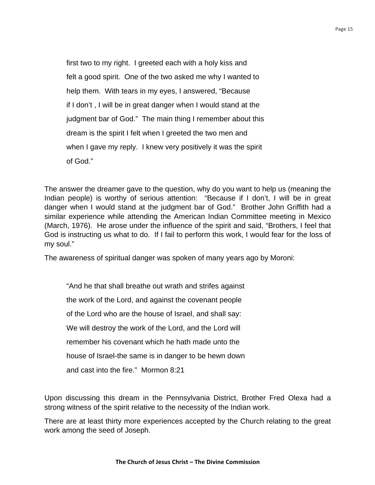first two to my right. I greeted each with a holy kiss and felt a good spirit. One of the two asked me why I wanted to help them. With tears in my eyes, I answered, "Because if I don't , I will be in great danger when I would stand at the judgment bar of God." The main thing I remember about this dream is the spirit I felt when I greeted the two men and when I gave my reply. I knew very positively it was the spirit of God."

The answer the dreamer gave to the question, why do you want to help us (meaning the Indian people) is worthy of serious attention: "Because if I don't, I will be in great danger when I would stand at the judgment bar of God." Brother John Griffith had a similar experience while attending the American Indian Committee meeting in Mexico (March, 1976). He arose under the influence of the spirit and said, "Brothers, I feel that God is instructing us what to do. If I fail to perform this work, I would fear for the loss of my soul."

The awareness of spiritual danger was spoken of many years ago by Moroni:

 "And he that shall breathe out wrath and strifes against the work of the Lord, and against the covenant people of the Lord who are the house of Israel, and shall say: We will destroy the work of the Lord, and the Lord will remember his covenant which he hath made unto the house of Israel-the same is in danger to be hewn down and cast into the fire." Mormon 8:21

Upon discussing this dream in the Pennsylvania District, Brother Fred Olexa had a strong witness of the spirit relative to the necessity of the Indian work.

There are at least thirty more experiences accepted by the Church relating to the great work among the seed of Joseph.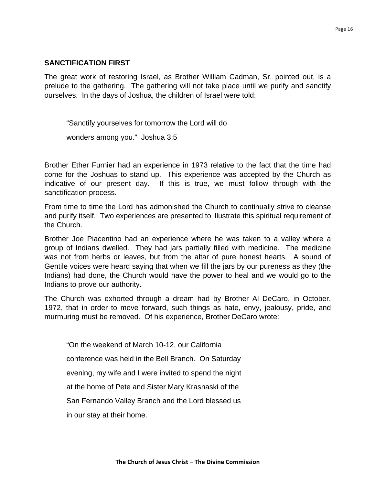## **SANCTIFICATION FIRST**

The great work of restoring Israel, as Brother William Cadman, Sr. pointed out, is a prelude to the gathering. The gathering will not take place until we purify and sanctify ourselves. In the days of Joshua, the children of Israel were told:

 "Sanctify yourselves for tomorrow the Lord will do wonders among you." Joshua 3:5

Brother Ether Furnier had an experience in 1973 relative to the fact that the time had come for the Joshuas to stand up. This experience was accepted by the Church as indicative of our present day. If this is true, we must follow through with the sanctification process.

From time to time the Lord has admonished the Church to continually strive to cleanse and purify itself. Two experiences are presented to illustrate this spiritual requirement of the Church.

Brother Joe Piacentino had an experience where he was taken to a valley where a group of Indians dwelled. They had jars partially filled with medicine. The medicine was not from herbs or leaves, but from the altar of pure honest hearts. A sound of Gentile voices were heard saying that when we fill the jars by our pureness as they (the Indians) had done, the Church would have the power to heal and we would go to the Indians to prove our authority.

The Church was exhorted through a dream had by Brother Al DeCaro, in October, 1972, that in order to move forward, such things as hate, envy, jealousy, pride, and murmuring must be removed. Of his experience, Brother DeCaro wrote:

 "On the weekend of March 10-12, our California conference was held in the Bell Branch. On Saturday evening, my wife and I were invited to spend the night at the home of Pete and Sister Mary Krasnaski of the San Fernando Valley Branch and the Lord blessed us in our stay at their home.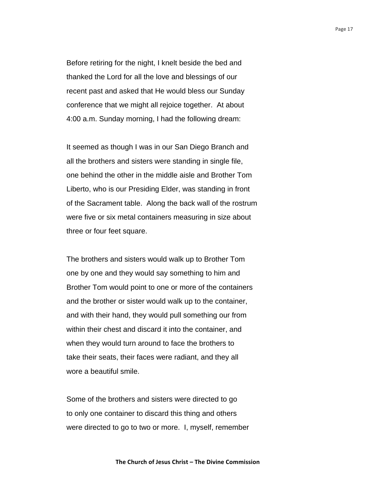Before retiring for the night, I knelt beside the bed and thanked the Lord for all the love and blessings of our recent past and asked that He would bless our Sunday conference that we might all rejoice together. At about 4:00 a.m. Sunday morning, I had the following dream:

 It seemed as though I was in our San Diego Branch and all the brothers and sisters were standing in single file, one behind the other in the middle aisle and Brother Tom Liberto, who is our Presiding Elder, was standing in front of the Sacrament table. Along the back wall of the rostrum were five or six metal containers measuring in size about three or four feet square.

 The brothers and sisters would walk up to Brother Tom one by one and they would say something to him and Brother Tom would point to one or more of the containers and the brother or sister would walk up to the container, and with their hand, they would pull something our from within their chest and discard it into the container, and when they would turn around to face the brothers to take their seats, their faces were radiant, and they all wore a beautiful smile.

 Some of the brothers and sisters were directed to go to only one container to discard this thing and others were directed to go to two or more. I, myself, remember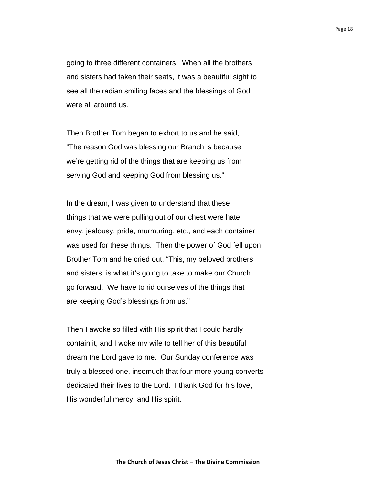going to three different containers. When all the brothers and sisters had taken their seats, it was a beautiful sight to see all the radian smiling faces and the blessings of God were all around us.

 Then Brother Tom began to exhort to us and he said, "The reason God was blessing our Branch is because we're getting rid of the things that are keeping us from serving God and keeping God from blessing us."

 In the dream, I was given to understand that these things that we were pulling out of our chest were hate, envy, jealousy, pride, murmuring, etc., and each container was used for these things. Then the power of God fell upon Brother Tom and he cried out, "This, my beloved brothers and sisters, is what it's going to take to make our Church go forward. We have to rid ourselves of the things that are keeping God's blessings from us."

 Then I awoke so filled with His spirit that I could hardly contain it, and I woke my wife to tell her of this beautiful dream the Lord gave to me. Our Sunday conference was truly a blessed one, insomuch that four more young converts dedicated their lives to the Lord. I thank God for his love, His wonderful mercy, and His spirit.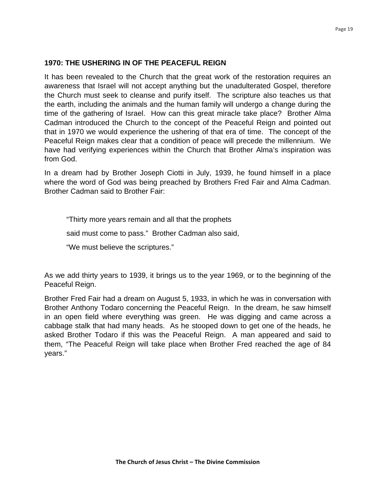## **1970: THE USHERING IN OF THE PEACEFUL REIGN**

It has been revealed to the Church that the great work of the restoration requires an awareness that Israel will not accept anything but the unadulterated Gospel, therefore the Church must seek to cleanse and purify itself. The scripture also teaches us that the earth, including the animals and the human family will undergo a change during the time of the gathering of Israel. How can this great miracle take place? Brother Alma Cadman introduced the Church to the concept of the Peaceful Reign and pointed out that in 1970 we would experience the ushering of that era of time. The concept of the Peaceful Reign makes clear that a condition of peace will precede the millennium. We have had verifying experiences within the Church that Brother Alma's inspiration was from God.

In a dream had by Brother Joseph Ciotti in July, 1939, he found himself in a place where the word of God was being preached by Brothers Fred Fair and Alma Cadman. Brother Cadman said to Brother Fair:

"Thirty more years remain and all that the prophets

said must come to pass." Brother Cadman also said,

"We must believe the scriptures."

As we add thirty years to 1939, it brings us to the year 1969, or to the beginning of the Peaceful Reign.

Brother Fred Fair had a dream on August 5, 1933, in which he was in conversation with Brother Anthony Todaro concerning the Peaceful Reign. In the dream, he saw himself in an open field where everything was green. He was digging and came across a cabbage stalk that had many heads. As he stooped down to get one of the heads, he asked Brother Todaro if this was the Peaceful Reign. A man appeared and said to them, "The Peaceful Reign will take place when Brother Fred reached the age of 84 years."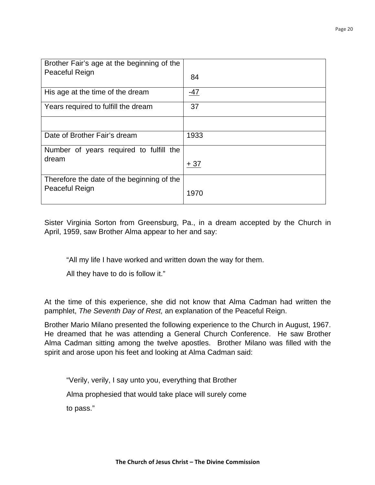| Brother Fair's age at the beginning of the<br>Peaceful Reign | 84    |
|--------------------------------------------------------------|-------|
| His age at the time of the dream                             | -47   |
| Years required to fulfill the dream                          | 37    |
|                                                              |       |
| Date of Brother Fair's dream                                 | 1933  |
| Number of years required to fulfill the                      |       |
| dream                                                        | $+37$ |
| Therefore the date of the beginning of the                   |       |
| Peaceful Reign                                               | 1970  |

Sister Virginia Sorton from Greensburg, Pa., in a dream accepted by the Church in April, 1959, saw Brother Alma appear to her and say:

"All my life I have worked and written down the way for them.

All they have to do is follow it."

At the time of this experience, she did not know that Alma Cadman had written the pamphlet, *The Seventh Day of Rest,* an explanation of the Peaceful Reign.

Brother Mario Milano presented the following experience to the Church in August, 1967. He dreamed that he was attending a General Church Conference. He saw Brother Alma Cadman sitting among the twelve apostles. Brother Milano was filled with the spirit and arose upon his feet and looking at Alma Cadman said:

"Verily, verily, I say unto you, everything that Brother

Alma prophesied that would take place will surely come

to pass."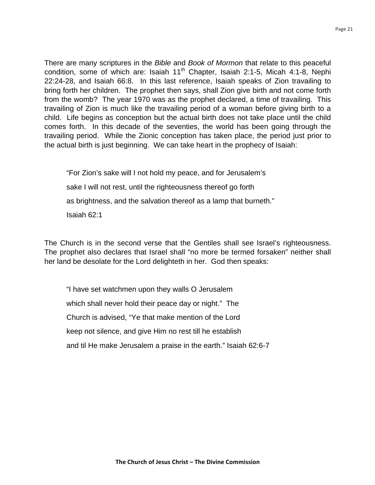There are many scriptures in the *Bible* and *Book of Mormon* that relate to this peaceful condition, some of which are: Isaiah  $11<sup>th</sup>$  Chapter, Isaiah 2:1-5, Micah 4:1-8, Nephi 22:24-28, and Isaiah 66:8. In this last reference, Isaiah speaks of Zion travailing to bring forth her children. The prophet then says, shall Zion give birth and not come forth from the womb? The year 1970 was as the prophet declared, a time of travailing. This travailing of Zion is much like the travailing period of a woman before giving birth to a child. Life begins as conception but the actual birth does not take place until the child comes forth. In this decade of the seventies, the world has been going through the travailing period. While the Zionic conception has taken place, the period just prior to the actual birth is just beginning. We can take heart in the prophecy of Isaiah:

 "For Zion's sake will I not hold my peace, and for Jerusalem's sake I will not rest, until the righteousness thereof go forth as brightness, and the salvation thereof as a lamp that burneth." Isaiah 62:1

The Church is in the second verse that the Gentiles shall see Israel's righteousness. The prophet also declares that Israel shall "no more be termed forsaken" neither shall her land be desolate for the Lord delighteth in her. God then speaks:

 "I have set watchmen upon they walls O Jerusalem which shall never hold their peace day or night." The Church is advised, "Ye that make mention of the Lord keep not silence, and give Him no rest till he establish and til He make Jerusalem a praise in the earth." Isaiah 62:6-7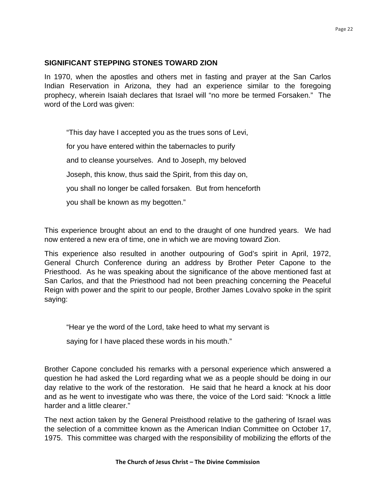#### Page 22

## **SIGNIFICANT STEPPING STONES TOWARD ZION**

In 1970, when the apostles and others met in fasting and prayer at the San Carlos Indian Reservation in Arizona, they had an experience similar to the foregoing prophecy, wherein Isaiah declares that Israel will "no more be termed Forsaken." The word of the Lord was given:

"This day have I accepted you as the trues sons of Levi,

for you have entered within the tabernacles to purify

and to cleanse yourselves. And to Joseph, my beloved

Joseph, this know, thus said the Spirit, from this day on,

you shall no longer be called forsaken. But from henceforth

you shall be known as my begotten."

This experience brought about an end to the draught of one hundred years. We had now entered a new era of time, one in which we are moving toward Zion.

This experience also resulted in another outpouring of God's spirit in April, 1972, General Church Conference during an address by Brother Peter Capone to the Priesthood. As he was speaking about the significance of the above mentioned fast at San Carlos, and that the Priesthood had not been preaching concerning the Peaceful Reign with power and the spirit to our people, Brother James Lovalvo spoke in the spirit saying:

"Hear ye the word of the Lord, take heed to what my servant is

saying for I have placed these words in his mouth."

Brother Capone concluded his remarks with a personal experience which answered a question he had asked the Lord regarding what we as a people should be doing in our day relative to the work of the restoration. He said that he heard a knock at his door and as he went to investigate who was there, the voice of the Lord said: "Knock a little harder and a little clearer."

The next action taken by the General Preisthood relative to the gathering of Israel was the selection of a committee known as the American Indian Committee on October 17, 1975. This committee was charged with the responsibility of mobilizing the efforts of the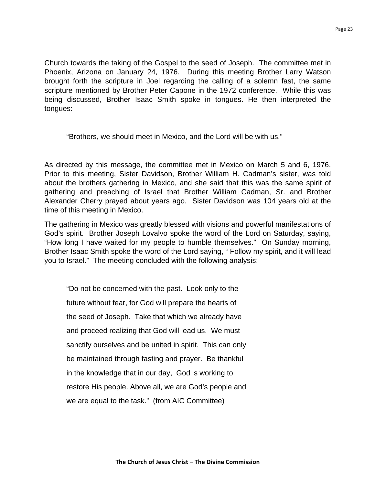Church towards the taking of the Gospel to the seed of Joseph. The committee met in Phoenix, Arizona on January 24, 1976. During this meeting Brother Larry Watson brought forth the scripture in Joel regarding the calling of a solemn fast, the same scripture mentioned by Brother Peter Capone in the 1972 conference. While this was being discussed, Brother Isaac Smith spoke in tongues. He then interpreted the tongues:

"Brothers, we should meet in Mexico, and the Lord will be with us."

As directed by this message, the committee met in Mexico on March 5 and 6, 1976. Prior to this meeting, Sister Davidson, Brother William H. Cadman's sister, was told about the brothers gathering in Mexico, and she said that this was the same spirit of gathering and preaching of Israel that Brother William Cadman, Sr. and Brother Alexander Cherry prayed about years ago. Sister Davidson was 104 years old at the time of this meeting in Mexico.

The gathering in Mexico was greatly blessed with visions and powerful manifestations of God's spirit. Brother Joseph Lovalvo spoke the word of the Lord on Saturday, saying, "How long I have waited for my people to humble themselves." On Sunday morning, Brother Isaac Smith spoke the word of the Lord saying, " Follow my spirit, and it will lead you to Israel." The meeting concluded with the following analysis:

 "Do not be concerned with the past. Look only to the future without fear, for God will prepare the hearts of the seed of Joseph. Take that which we already have and proceed realizing that God will lead us. We must sanctify ourselves and be united in spirit. This can only be maintained through fasting and prayer. Be thankful in the knowledge that in our day, God is working to restore His people. Above all, we are God's people and we are equal to the task." (from AIC Committee)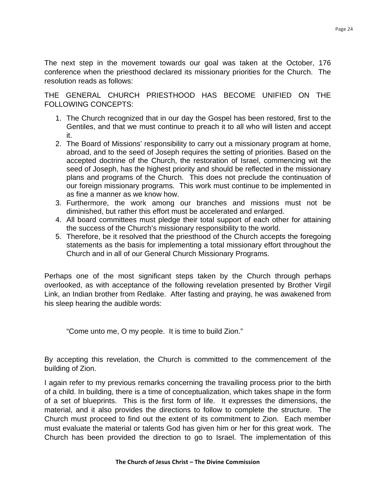The next step in the movement towards our goal was taken at the October, 176 conference when the priesthood declared its missionary priorities for the Church. The resolution reads as follows:

THE GENERAL CHURCH PRIESTHOOD HAS BECOME UNIFIED ON THE FOLLOWING CONCEPTS:

- 1. The Church recognized that in our day the Gospel has been restored, first to the Gentiles, and that we must continue to preach it to all who will listen and accept it.
- 2. The Board of Missions' responsibility to carry out a missionary program at home, abroad, and to the seed of Joseph requires the setting of priorities. Based on the accepted doctrine of the Church, the restoration of Israel, commencing wit the seed of Joseph, has the highest priority and should be reflected in the missionary plans and programs of the Church. This does not preclude the continuation of our foreign missionary programs. This work must continue to be implemented in as fine a manner as we know how.
- 3. Furthermore, the work among our branches and missions must not be diminished, but rather this effort must be accelerated and enlarged.
- 4. All board committees must pledge their total support of each other for attaining the success of the Church's missionary responsibility to the world.
- 5. Therefore, be it resolved that the priesthood of the Church accepts the foregoing statements as the basis for implementing a total missionary effort throughout the Church and in all of our General Church Missionary Programs.

Perhaps one of the most significant steps taken by the Church through perhaps overlooked, as with acceptance of the following revelation presented by Brother Virgil Link, an Indian brother from Redlake. After fasting and praying, he was awakened from his sleep hearing the audible words:

"Come unto me, O my people. It is time to build Zion."

By accepting this revelation, the Church is committed to the commencement of the building of Zion.

I again refer to my previous remarks concerning the travailing process prior to the birth of a child. In building, there is a time of conceptualization, which takes shape in the form of a set of blueprints. This is the first form of life. It expresses the dimensions, the material, and it also provides the directions to follow to complete the structure. The Church must proceed to find out the extent of its commitment to Zion. Each member must evaluate the material or talents God has given him or her for this great work. The Church has been provided the direction to go to Israel. The implementation of this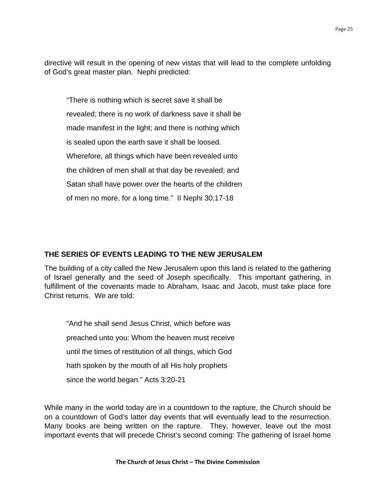directive will result in the opening of new vistas that will lead to the complete unfolding of God's great master plan. Nephi predicted:

 "There is nothing which is secret save it shall be revealed; there is no work of darkness save it shall be made manifest in the light; and there is nothing which is sealed upon the earth save it shall be loosed. Wherefore, all things which have been revealed unto the children of men shall at that day be revealed; and Satan shall have power over the hearts of the children of men no more, for a long time." II Nephi 30:17-18

## **THE SERIES OF EVENTS LEADING TO THE NEW JERUSALEM**

The building of a city called the New Jerusalem upon this land is related to the gathering of Israel generally and the seed of Joseph specifically. This important gathering, in fulfillment of the covenants made to Abraham, Isaac and Jacob, must take place fore Christ returns. We are told:

 "And he shall send Jesus Christ, which before was preached unto you: Whom the heaven must receive until the times of restitution of all things, which God hath spoken by the mouth of all His holy prophets since the world began." Acts 3:20-21

While many in the world today are in a countdown to the rapture, the Church should be on a countdown of God's latter day events that will eventually lead to the resurrection. Many books are being written on the rapture. They, however, leave out the most important events that will precede Christ's second coming: The gathering of Israel home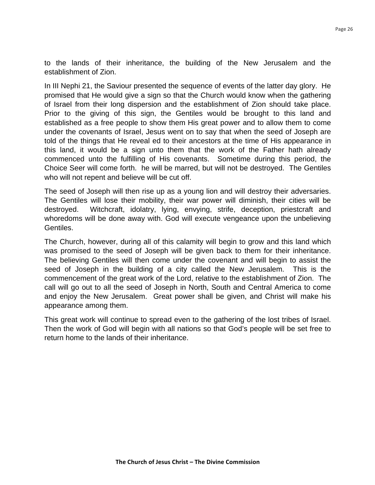to the lands of their inheritance, the building of the New Jerusalem and the establishment of Zion.

In III Nephi 21, the Saviour presented the sequence of events of the latter day glory. He promised that He would give a sign so that the Church would know when the gathering of Israel from their long dispersion and the establishment of Zion should take place. Prior to the giving of this sign, the Gentiles would be brought to this land and established as a free people to show them His great power and to allow them to come under the covenants of Israel, Jesus went on to say that when the seed of Joseph are told of the things that He reveal ed to their ancestors at the time of His appearance in this land, it would be a sign unto them that the work of the Father hath already commenced unto the fulfilling of His covenants. Sometime during this period, the Choice Seer will come forth. he will be marred, but will not be destroyed. The Gentiles who will not repent and believe will be cut off.

The seed of Joseph will then rise up as a young lion and will destroy their adversaries. The Gentiles will lose their mobility, their war power will diminish, their cities will be destroyed. Witchcraft, idolatry, lying, envying, strife, deception, priestcraft and whoredoms will be done away with. God will execute vengeance upon the unbelieving Gentiles.

The Church, however, during all of this calamity will begin to grow and this land which was promised to the seed of Joseph will be given back to them for their inheritance. The believing Gentiles will then come under the covenant and will begin to assist the seed of Joseph in the building of a city called the New Jerusalem. This is the commencement of the great work of the Lord, relative to the establishment of Zion. The call will go out to all the seed of Joseph in North, South and Central America to come and enjoy the New Jerusalem. Great power shall be given, and Christ will make his appearance among them.

This great work will continue to spread even to the gathering of the lost tribes of Israel. Then the work of God will begin with all nations so that God's people will be set free to return home to the lands of their inheritance.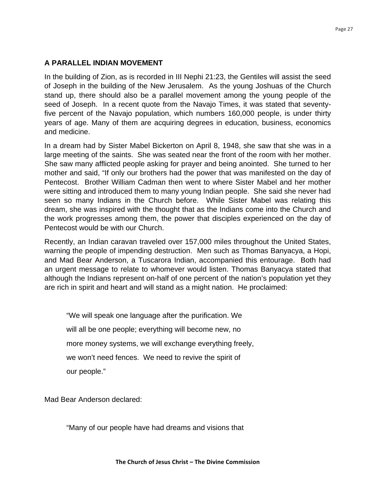## **A PARALLEL INDIAN MOVEMENT**

In the building of Zion, as is recorded in III Nephi 21:23, the Gentiles will assist the seed of Joseph in the building of the New Jerusalem. As the young Joshuas of the Church stand up, there should also be a parallel movement among the young people of the seed of Joseph. In a recent quote from the Navajo Times, it was stated that seventyfive percent of the Navajo population, which numbers 160,000 people, is under thirty years of age. Many of them are acquiring degrees in education, business, economics and medicine.

In a dream had by Sister Mabel Bickerton on April 8, 1948, she saw that she was in a large meeting of the saints. She was seated near the front of the room with her mother. She saw many afflicted people asking for prayer and being anointed. She turned to her mother and said, "If only our brothers had the power that was manifested on the day of Pentecost. Brother William Cadman then went to where Sister Mabel and her mother were sitting and introduced them to many young Indian people. She said she never had seen so many Indians in the Church before. While Sister Mabel was relating this dream, she was inspired with the thought that as the Indians come into the Church and the work progresses among them, the power that disciples experienced on the day of Pentecost would be with our Church.

Recently, an Indian caravan traveled over 157,000 miles throughout the United States, warning the people of impending destruction. Men such as Thomas Banyacya, a Hopi, and Mad Bear Anderson, a Tuscarora Indian, accompanied this entourage. Both had an urgent message to relate to whomever would listen. Thomas Banyacya stated that although the Indians represent on-half of one percent of the nation's population yet they are rich in spirit and heart and will stand as a might nation. He proclaimed:

 "We will speak one language after the purification. We will all be one people; everything will become new, no more money systems, we will exchange everything freely, we won't need fences. We need to revive the spirit of our people."

Mad Bear Anderson declared:

"Many of our people have had dreams and visions that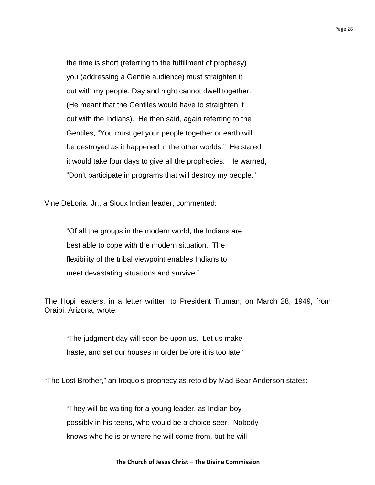the time is short (referring to the fulfillment of prophesy) you (addressing a Gentile audience) must straighten it out with my people. Day and night cannot dwell together. (He meant that the Gentiles would have to straighten it out with the Indians). He then said, again referring to the Gentiles, "You must get your people together or earth will be destroyed as it happened in the other worlds." He stated it would take four days to give all the prophecies. He warned, "Don't participate in programs that will destroy my people."

Vine DeLoria, Jr., a Sioux Indian leader, commented:

 "Of all the groups in the modern world, the Indians are best able to cope with the modern situation. The flexibility of the tribal viewpoint enables Indians to meet devastating situations and survive."

The Hopi leaders, in a letter written to President Truman, on March 28, 1949, from Oraibi, Arizona, wrote:

 "The judgment day will soon be upon us. Let us make haste, and set our houses in order before it is too late."

"The Lost Brother," an Iroquois prophecy as retold by Mad Bear Anderson states:

 "They will be waiting for a young leader, as Indian boy possibly in his teens, who would be a choice seer. Nobody knows who he is or where he will come from, but he will

#### The Church of Jesus Christ - The Divine Commission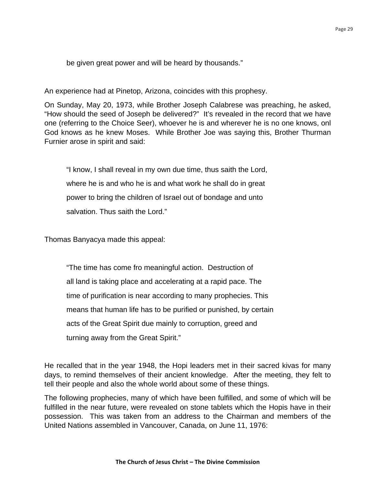be given great power and will be heard by thousands."

An experience had at Pinetop, Arizona, coincides with this prophesy.

On Sunday, May 20, 1973, while Brother Joseph Calabrese was preaching, he asked, "How should the seed of Joseph be delivered?" It's revealed in the record that we have one (referring to the Choice Seer), whoever he is and wherever he is no one knows, onl God knows as he knew Moses. While Brother Joe was saying this, Brother Thurman Furnier arose in spirit and said:

 "I know, I shall reveal in my own due time, thus saith the Lord, where he is and who he is and what work he shall do in great power to bring the children of Israel out of bondage and unto salvation. Thus saith the Lord."

Thomas Banyacya made this appeal:

 "The time has come fro meaningful action. Destruction of all land is taking place and accelerating at a rapid pace. The time of purification is near according to many prophecies. This means that human life has to be purified or punished, by certain acts of the Great Spirit due mainly to corruption, greed and turning away from the Great Spirit."

He recalled that in the year 1948, the Hopi leaders met in their sacred kivas for many days, to remind themselves of their ancient knowledge. After the meeting, they felt to tell their people and also the whole world about some of these things.

The following prophecies, many of which have been fulfilled, and some of which will be fulfilled in the near future, were revealed on stone tablets which the Hopis have in their possession. This was taken from an address to the Chairman and members of the United Nations assembled in Vancouver, Canada, on June 11, 1976: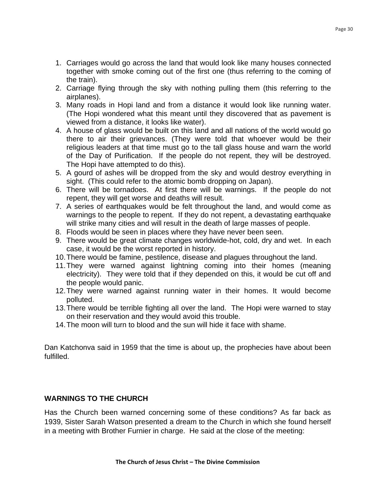- 1. Carriages would go across the land that would look like many houses connected together with smoke coming out of the first one (thus referring to the coming of the train).
- 2. Carriage flying through the sky with nothing pulling them (this referring to the airplanes).
- 3. Many roads in Hopi land and from a distance it would look like running water. (The Hopi wondered what this meant until they discovered that as pavement is viewed from a distance, it looks like water).
- 4. A house of glass would be built on this land and all nations of the world would go there to air their grievances. (They were told that whoever would be their religious leaders at that time must go to the tall glass house and warn the world of the Day of Purification. If the people do not repent, they will be destroyed. The Hopi have attempted to do this).
- 5. A gourd of ashes will be dropped from the sky and would destroy everything in sight. (This could refer to the atomic bomb dropping on Japan).
- 6. There will be tornadoes. At first there will be warnings. If the people do not repent, they will get worse and deaths will result.
- 7. A series of earthquakes would be felt throughout the land, and would come as warnings to the people to repent. If they do not repent, a devastating earthquake will strike many cities and will result in the death of large masses of people.
- 8. Floods would be seen in places where they have never been seen.
- 9. There would be great climate changes worldwide-hot, cold, dry and wet. In each case, it would be the worst reported in history.
- 10. There would be famine, pestilence, disease and plagues throughout the land.
- 11. They were warned against lightning coming into their homes (meaning electricity). They were told that if they depended on this, it would be cut off and the people would panic.
- 12. They were warned against running water in their homes. It would become polluted.
- 13. There would be terrible fighting all over the land. The Hopi were warned to stay on their reservation and they would avoid this trouble.
- 14. The moon will turn to blood and the sun will hide it face with shame.

Dan Katchonva said in 1959 that the time is about up, the prophecies have about been fulfilled.

## **WARNINGS TO THE CHURCH**

Has the Church been warned concerning some of these conditions? As far back as 1939, Sister Sarah Watson presented a dream to the Church in which she found herself in a meeting with Brother Furnier in charge. He said at the close of the meeting: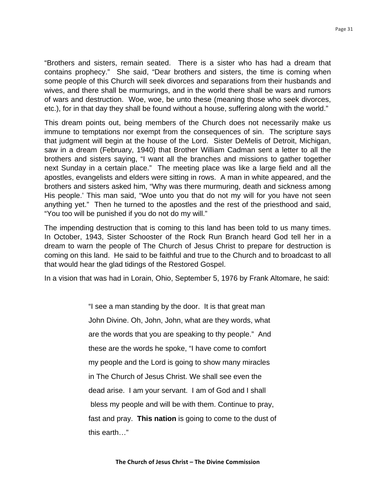"Brothers and sisters, remain seated. There is a sister who has had a dream that contains prophecy." She said, "Dear brothers and sisters, the time is coming when some people of this Church will seek divorces and separations from their husbands and wives, and there shall be murmurings, and in the world there shall be wars and rumors of wars and destruction. Woe, woe, be unto these (meaning those who seek divorces, etc.), for in that day they shall be found without a house, suffering along with the world."

This dream points out, being members of the Church does not necessarily make us immune to temptations nor exempt from the consequences of sin. The scripture says that judgment will begin at the house of the Lord. Sister DeMelis of Detroit, Michigan, saw in a dream (February, 1940) that Brother William Cadman sent a letter to all the brothers and sisters saying, "I want all the branches and missions to gather together next Sunday in a certain place." The meeting place was like a large field and all the apostles, evangelists and elders were sitting in rows. A man in white appeared, and the brothers and sisters asked him, "Why was there murmuring, death and sickness among His people.' This man said, "Woe unto you that do not my will for you have not seen anything yet." Then he turned to the apostles and the rest of the priesthood and said, "You too will be punished if you do not do my will."

The impending destruction that is coming to this land has been told to us many times. In October, 1943, Sister Schooster of the Rock Run Branch heard God tell her in a dream to warn the people of The Church of Jesus Christ to prepare for destruction is coming on this land. He said to be faithful and true to the Church and to broadcast to all that would hear the glad tidings of the Restored Gospel.

In a vision that was had in Lorain, Ohio, September 5, 1976 by Frank Altomare, he said:

 "I see a man standing by the door. It is that great man John Divine. Oh, John, John, what are they words, what are the words that you are speaking to thy people." And these are the words he spoke, "I have come to comfort my people and the Lord is going to show many miracles in The Church of Jesus Christ. We shall see even the dead arise. I am your servant. I am of God and I shall bless my people and will be with them. Continue to pray, fast and pray. **This nation** is going to come to the dust of this earth…"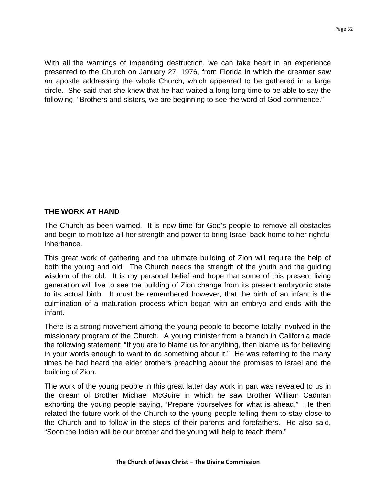With all the warnings of impending destruction, we can take heart in an experience presented to the Church on January 27, 1976, from Florida in which the dreamer saw an apostle addressing the whole Church, which appeared to be gathered in a large circle. She said that she knew that he had waited a long long time to be able to say the following, "Brothers and sisters, we are beginning to see the word of God commence."

## **THE WORK AT HAND**

The Church as been warned. It is now time for God's people to remove all obstacles and begin to mobilize all her strength and power to bring Israel back home to her rightful inheritance.

This great work of gathering and the ultimate building of Zion will require the help of both the young and old. The Church needs the strength of the youth and the guiding wisdom of the old. It is my personal belief and hope that some of this present living generation will live to see the building of Zion change from its present embryonic state to its actual birth. It must be remembered however, that the birth of an infant is the culmination of a maturation process which began with an embryo and ends with the infant.

There is a strong movement among the young people to become totally involved in the missionary program of the Church. A young minister from a branch in California made the following statement: "If you are to blame us for anything, then blame us for believing in your words enough to want to do something about it." He was referring to the many times he had heard the elder brothers preaching about the promises to Israel and the building of Zion.

The work of the young people in this great latter day work in part was revealed to us in the dream of Brother Michael McGuire in which he saw Brother William Cadman exhorting the young people saying, "Prepare yourselves for what is ahead." He then related the future work of the Church to the young people telling them to stay close to the Church and to follow in the steps of their parents and forefathers. He also said, "Soon the Indian will be our brother and the young will help to teach them."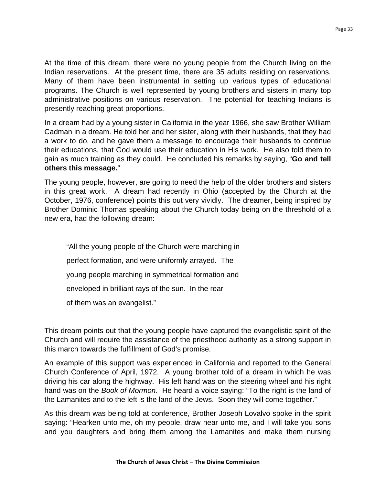At the time of this dream, there were no young people from the Church living on the Indian reservations. At the present time, there are 35 adults residing on reservations. Many of them have been instrumental in setting up various types of educational programs. The Church is well represented by young brothers and sisters in many top administrative positions on various reservation. The potential for teaching Indians is presently reaching great proportions.

In a dream had by a young sister in California in the year 1966, she saw Brother William Cadman in a dream. He told her and her sister, along with their husbands, that they had a work to do, and he gave them a message to encourage their husbands to continue their educations, that God would use their education in His work. He also told them to gain as much training as they could. He concluded his remarks by saying, "**Go and tell others this message.**"

The young people, however, are going to need the help of the older brothers and sisters in this great work. A dream had recently in Ohio (accepted by the Church at the October, 1976, conference) points this out very vividly. The dreamer, being inspired by Brother Dominic Thomas speaking about the Church today being on the threshold of a new era, had the following dream:

 "All the young people of the Church were marching in perfect formation, and were uniformly arrayed. The young people marching in symmetrical formation and enveloped in brilliant rays of the sun. In the rear of them was an evangelist."

This dream points out that the young people have captured the evangelistic spirit of the Church and will require the assistance of the priesthood authority as a strong support in this march towards the fulfillment of God's promise.

An example of this support was experienced in California and reported to the General Church Conference of April, 1972. A young brother told of a dream in which he was driving his car along the highway. His left hand was on the steering wheel and his right hand was on the *Book of Mormon*. He heard a voice saying: "To the right is the land of the Lamanites and to the left is the land of the Jews. Soon they will come together."

As this dream was being told at conference, Brother Joseph Lovalvo spoke in the spirit saying: "Hearken unto me, oh my people, draw near unto me, and I will take you sons and you daughters and bring them among the Lamanites and make them nursing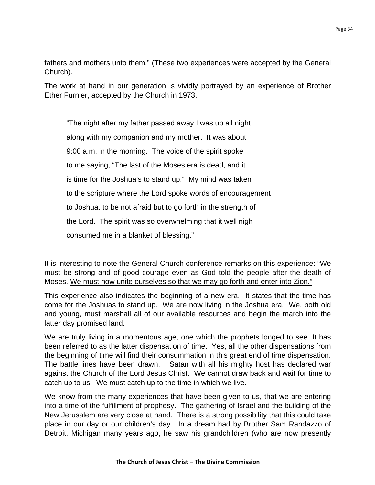fathers and mothers unto them." (These two experiences were accepted by the General Church).

The work at hand in our generation is vividly portrayed by an experience of Brother Ether Furnier, accepted by the Church in 1973.

 "The night after my father passed away I was up all night along with my companion and my mother. It was about 9:00 a.m. in the morning. The voice of the spirit spoke to me saying, "The last of the Moses era is dead, and it is time for the Joshua's to stand up." My mind was taken to the scripture where the Lord spoke words of encouragement to Joshua, to be not afraid but to go forth in the strength of the Lord. The spirit was so overwhelming that it well nigh consumed me in a blanket of blessing."

It is interesting to note the General Church conference remarks on this experience: "We must be strong and of good courage even as God told the people after the death of Moses. We must now unite ourselves so that we may go forth and enter into Zion."

This experience also indicates the beginning of a new era. It states that the time has come for the Joshuas to stand up. We are now living in the Joshua era. We, both old and young, must marshall all of our available resources and begin the march into the latter day promised land.

We are truly living in a momentous age, one which the prophets longed to see. It has been referred to as the latter dispensation of time. Yes, all the other dispensations from the beginning of time will find their consummation in this great end of time dispensation. The battle lines have been drawn. Satan with all his mighty host has declared war against the Church of the Lord Jesus Christ. We cannot draw back and wait for time to catch up to us. We must catch up to the time in which we live.

We know from the many experiences that have been given to us, that we are entering into a time of the fulfillment of prophesy. The gathering of Israel and the building of the New Jerusalem are very close at hand. There is a strong possibility that this could take place in our day or our children's day. In a dream had by Brother Sam Randazzo of Detroit, Michigan many years ago, he saw his grandchildren (who are now presently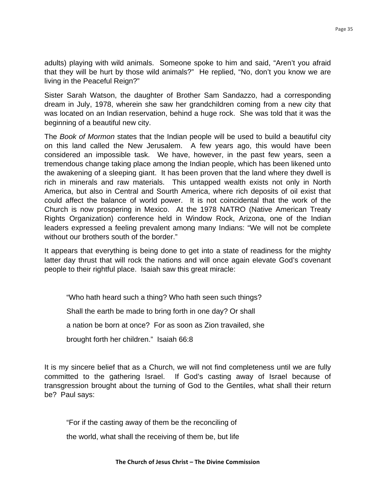adults) playing with wild animals. Someone spoke to him and said, "Aren't you afraid that they will be hurt by those wild animals?" He replied, "No, don't you know we are living in the Peaceful Reign?"

Sister Sarah Watson, the daughter of Brother Sam Sandazzo, had a corresponding dream in July, 1978, wherein she saw her grandchildren coming from a new city that was located on an Indian reservation, behind a huge rock. She was told that it was the beginning of a beautiful new city.

The *Book of Mormon* states that the Indian people will be used to build a beautiful city on this land called the New Jerusalem. A few years ago, this would have been considered an impossible task. We have, however, in the past few years, seen a tremendous change taking place among the Indian people, which has been likened unto the awakening of a sleeping giant. It has been proven that the land where they dwell is rich in minerals and raw materials. This untapped wealth exists not only in North America, but also in Central and Sourth America, where rich deposits of oil exist that could affect the balance of world power. It is not coincidental that the work of the Church is now prospering in Mexico. At the 1978 NATRO (Native American Treaty Rights Organization) conference held in Window Rock, Arizona, one of the Indian leaders expressed a feeling prevalent among many Indians: "We will not be complete without our brothers south of the border."

It appears that everything is being done to get into a state of readiness for the mighty latter day thrust that will rock the nations and will once again elevate God's covenant people to their rightful place. Isaiah saw this great miracle:

 "Who hath heard such a thing? Who hath seen such things? Shall the earth be made to bring forth in one day? Or shall a nation be born at once? For as soon as Zion travailed, she brought forth her children." Isaiah 66:8

It is my sincere belief that as a Church, we will not find completeness until we are fully committed to the gathering Israel. If God's casting away of Israel because of transgression brought about the turning of God to the Gentiles, what shall their return be? Paul says:

"For if the casting away of them be the reconciling of

the world, what shall the receiving of them be, but life